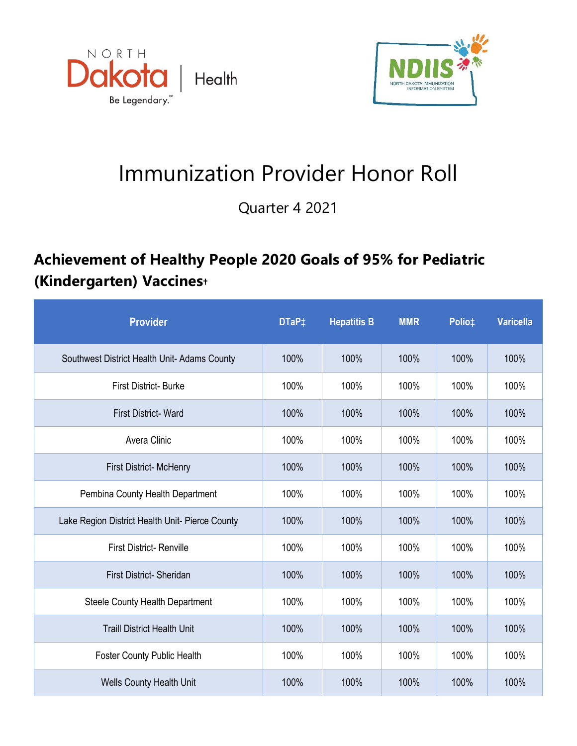



## Immunization Provider Honor Roll

Quarter 4 2021

## **Achievement of Healthy People 2020 Goals of 95% for Pediatric (Kindergarten) Vaccines†**

| <b>Provider</b>                                 | DTaP <sup>+</sup> | <b>Hepatitis B</b> | <b>MMR</b> | Polio‡ | <b>Varicella</b> |
|-------------------------------------------------|-------------------|--------------------|------------|--------|------------------|
| Southwest District Health Unit-Adams County     | 100%              | 100%               | 100%       | 100%   | 100%             |
| <b>First District-Burke</b>                     | 100%              | 100%               | 100%       | 100%   | 100%             |
| <b>First District-Ward</b>                      | 100%              | 100%               | 100%       | 100%   | 100%             |
| Avera Clinic                                    | 100%              | 100%               | 100%       | 100%   | 100%             |
| First District-McHenry                          | 100%              | 100%               | 100%       | 100%   | 100%             |
| Pembina County Health Department                | 100%              | 100%               | 100%       | 100%   | 100%             |
| Lake Region District Health Unit- Pierce County | 100%              | 100%               | 100%       | 100%   | 100%             |
| <b>First District- Renville</b>                 | 100%              | 100%               | 100%       | 100%   | 100%             |
| First District- Sheridan                        | 100%              | 100%               | 100%       | 100%   | 100%             |
| Steele County Health Department                 | 100%              | 100%               | 100%       | 100%   | 100%             |
| <b>Traill District Health Unit</b>              | 100%              | 100%               | 100%       | 100%   | 100%             |
| <b>Foster County Public Health</b>              | 100%              | 100%               | 100%       | 100%   | 100%             |
| <b>Wells County Health Unit</b>                 | 100%              | 100%               | 100%       | 100%   | 100%             |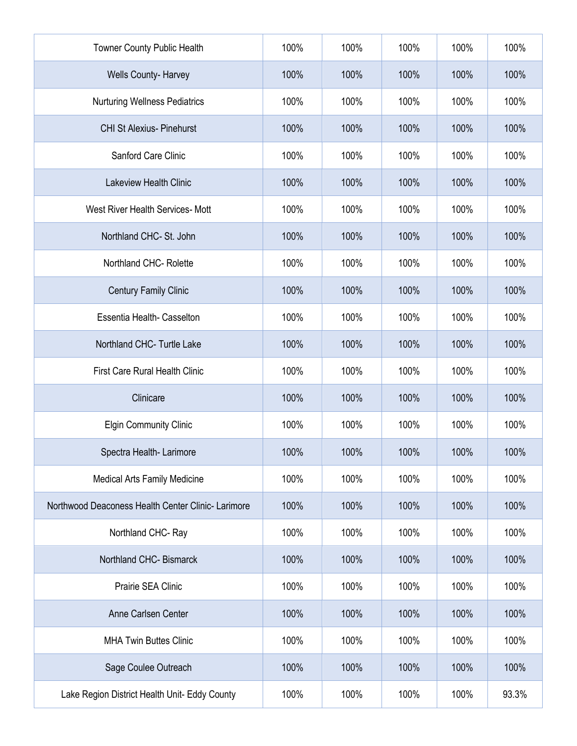| Towner County Public Health                       | 100% | 100% | 100% | 100% | 100%  |
|---------------------------------------------------|------|------|------|------|-------|
| Wells County- Harvey                              | 100% | 100% | 100% | 100% | 100%  |
| <b>Nurturing Wellness Pediatrics</b>              | 100% | 100% | 100% | 100% | 100%  |
| <b>CHI St Alexius- Pinehurst</b>                  | 100% | 100% | 100% | 100% | 100%  |
| Sanford Care Clinic                               | 100% | 100% | 100% | 100% | 100%  |
| <b>Lakeview Health Clinic</b>                     | 100% | 100% | 100% | 100% | 100%  |
| West River Health Services- Mott                  | 100% | 100% | 100% | 100% | 100%  |
| Northland CHC- St. John                           | 100% | 100% | 100% | 100% | 100%  |
| Northland CHC-Rolette                             | 100% | 100% | 100% | 100% | 100%  |
| <b>Century Family Clinic</b>                      | 100% | 100% | 100% | 100% | 100%  |
| Essentia Health- Casselton                        | 100% | 100% | 100% | 100% | 100%  |
| Northland CHC- Turtle Lake                        | 100% | 100% | 100% | 100% | 100%  |
| <b>First Care Rural Health Clinic</b>             | 100% | 100% | 100% | 100% | 100%  |
| Clinicare                                         | 100% | 100% | 100% | 100% | 100%  |
| <b>Elgin Community Clinic</b>                     | 100% | 100% | 100% | 100% | 100%  |
| Spectra Health-Larimore                           | 100% | 100% | 100% | 100% | 100%  |
| <b>Medical Arts Family Medicine</b>               | 100% | 100% | 100% | 100% | 100%  |
| Northwood Deaconess Health Center Clinic-Larimore | 100% | 100% | 100% | 100% | 100%  |
| Northland CHC-Ray                                 | 100% | 100% | 100% | 100% | 100%  |
| Northland CHC-Bismarck                            | 100% | 100% | 100% | 100% | 100%  |
| Prairie SEA Clinic                                | 100% | 100% | 100% | 100% | 100%  |
| Anne Carlsen Center                               | 100% | 100% | 100% | 100% | 100%  |
| <b>MHA Twin Buttes Clinic</b>                     | 100% | 100% | 100% | 100% | 100%  |
| Sage Coulee Outreach                              | 100% | 100% | 100% | 100% | 100%  |
| Lake Region District Health Unit- Eddy County     | 100% | 100% | 100% | 100% | 93.3% |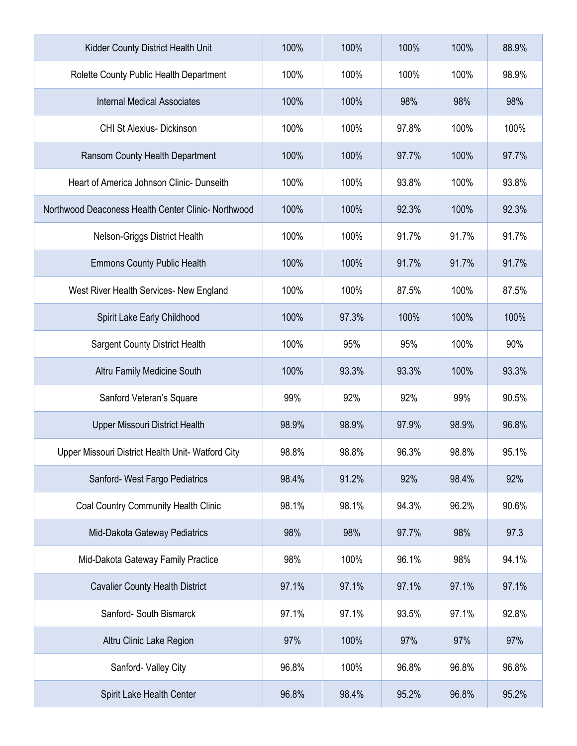| Kidder County District Health Unit                  | 100%  | 100%  | 100%  | 100%  | 88.9% |
|-----------------------------------------------------|-------|-------|-------|-------|-------|
| Rolette County Public Health Department             | 100%  | 100%  | 100%  | 100%  | 98.9% |
| <b>Internal Medical Associates</b>                  | 100%  | 100%  | 98%   | 98%   | 98%   |
| <b>CHI St Alexius- Dickinson</b>                    | 100%  | 100%  | 97.8% | 100%  | 100%  |
| Ransom County Health Department                     | 100%  | 100%  | 97.7% | 100%  | 97.7% |
| Heart of America Johnson Clinic- Dunseith           | 100%  | 100%  | 93.8% | 100%  | 93.8% |
| Northwood Deaconess Health Center Clinic- Northwood | 100%  | 100%  | 92.3% | 100%  | 92.3% |
| Nelson-Griggs District Health                       | 100%  | 100%  | 91.7% | 91.7% | 91.7% |
| <b>Emmons County Public Health</b>                  | 100%  | 100%  | 91.7% | 91.7% | 91.7% |
| West River Health Services- New England             | 100%  | 100%  | 87.5% | 100%  | 87.5% |
| Spirit Lake Early Childhood                         | 100%  | 97.3% | 100%  | 100%  | 100%  |
| <b>Sargent County District Health</b>               | 100%  | 95%   | 95%   | 100%  | 90%   |
| Altru Family Medicine South                         | 100%  | 93.3% | 93.3% | 100%  | 93.3% |
| Sanford Veteran's Square                            | 99%   | 92%   | 92%   | 99%   | 90.5% |
| <b>Upper Missouri District Health</b>               | 98.9% | 98.9% | 97.9% | 98.9% | 96.8% |
| Upper Missouri District Health Unit- Watford City   | 98.8% | 98.8% | 96.3% | 98.8% | 95.1% |
| Sanford- West Fargo Pediatrics                      | 98.4% | 91.2% | 92%   | 98.4% | 92%   |
| <b>Coal Country Community Health Clinic</b>         | 98.1% | 98.1% | 94.3% | 96.2% | 90.6% |
| Mid-Dakota Gateway Pediatrics                       | 98%   | 98%   | 97.7% | 98%   | 97.3  |
| Mid-Dakota Gateway Family Practice                  | 98%   | 100%  | 96.1% | 98%   | 94.1% |
| <b>Cavalier County Health District</b>              | 97.1% | 97.1% | 97.1% | 97.1% | 97.1% |
| Sanford- South Bismarck                             | 97.1% | 97.1% | 93.5% | 97.1% | 92.8% |
| Altru Clinic Lake Region                            | 97%   | 100%  | 97%   | 97%   | 97%   |
| Sanford- Valley City                                | 96.8% | 100%  | 96.8% | 96.8% | 96.8% |
| Spirit Lake Health Center                           | 96.8% | 98.4% | 95.2% | 96.8% | 95.2% |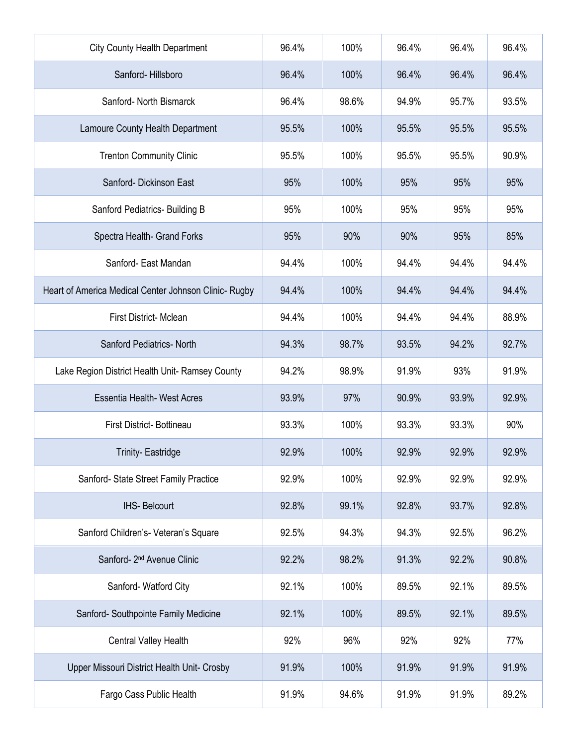| <b>City County Health Department</b>                  | 96.4% | 100%  | 96.4% | 96.4% | 96.4% |
|-------------------------------------------------------|-------|-------|-------|-------|-------|
| Sanford-Hillsboro                                     | 96.4% | 100%  | 96.4% | 96.4% | 96.4% |
| Sanford- North Bismarck                               | 96.4% | 98.6% | 94.9% | 95.7% | 93.5% |
| Lamoure County Health Department                      | 95.5% | 100%  | 95.5% | 95.5% | 95.5% |
| <b>Trenton Community Clinic</b>                       | 95.5% | 100%  | 95.5% | 95.5% | 90.9% |
| Sanford- Dickinson East                               | 95%   | 100%  | 95%   | 95%   | 95%   |
| Sanford Pediatrics- Building B                        | 95%   | 100%  | 95%   | 95%   | 95%   |
| Spectra Health- Grand Forks                           | 95%   | 90%   | 90%   | 95%   | 85%   |
| Sanford- East Mandan                                  | 94.4% | 100%  | 94.4% | 94.4% | 94.4% |
| Heart of America Medical Center Johnson Clinic- Rugby | 94.4% | 100%  | 94.4% | 94.4% | 94.4% |
| First District-Mclean                                 | 94.4% | 100%  | 94.4% | 94.4% | 88.9% |
| <b>Sanford Pediatrics- North</b>                      | 94.3% | 98.7% | 93.5% | 94.2% | 92.7% |
| Lake Region District Health Unit- Ramsey County       | 94.2% | 98.9% | 91.9% | 93%   | 91.9% |
| <b>Essentia Health- West Acres</b>                    | 93.9% | 97%   | 90.9% | 93.9% | 92.9% |
| First District-Bottineau                              | 93.3% | 100%  | 93.3% | 93.3% | 90%   |
| <b>Trinity-Eastridge</b>                              | 92.9% | 100%  | 92.9% | 92.9% | 92.9% |
| Sanford- State Street Family Practice                 | 92.9% | 100%  | 92.9% | 92.9% | 92.9% |
| <b>IHS- Belcourt</b>                                  | 92.8% | 99.1% | 92.8% | 93.7% | 92.8% |
| Sanford Children's- Veteran's Square                  | 92.5% | 94.3% | 94.3% | 92.5% | 96.2% |
| Sanford- 2 <sup>nd</sup> Avenue Clinic                | 92.2% | 98.2% | 91.3% | 92.2% | 90.8% |
| Sanford-Watford City                                  | 92.1% | 100%  | 89.5% | 92.1% | 89.5% |
| Sanford- Southpointe Family Medicine                  | 92.1% | 100%  | 89.5% | 92.1% | 89.5% |
| Central Valley Health                                 | 92%   | 96%   | 92%   | 92%   | 77%   |
| Upper Missouri District Health Unit- Crosby           | 91.9% | 100%  | 91.9% | 91.9% | 91.9% |
| Fargo Cass Public Health                              | 91.9% | 94.6% | 91.9% | 91.9% | 89.2% |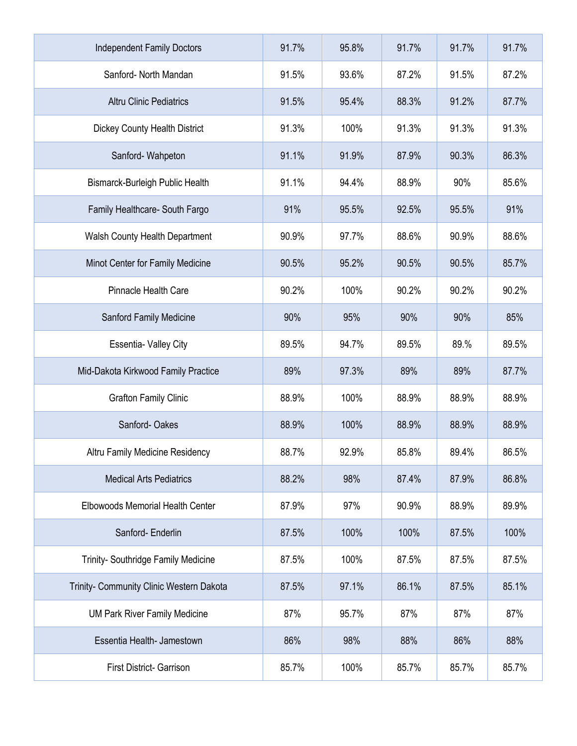| <b>Independent Family Doctors</b>        | 91.7% | 95.8% | 91.7% | 91.7% | 91.7% |
|------------------------------------------|-------|-------|-------|-------|-------|
| Sanford- North Mandan                    | 91.5% | 93.6% | 87.2% | 91.5% | 87.2% |
| <b>Altru Clinic Pediatrics</b>           | 91.5% | 95.4% | 88.3% | 91.2% | 87.7% |
| <b>Dickey County Health District</b>     | 91.3% | 100%  | 91.3% | 91.3% | 91.3% |
| Sanford-Wahpeton                         | 91.1% | 91.9% | 87.9% | 90.3% | 86.3% |
| Bismarck-Burleigh Public Health          | 91.1% | 94.4% | 88.9% | 90%   | 85.6% |
| Family Healthcare- South Fargo           | 91%   | 95.5% | 92.5% | 95.5% | 91%   |
| Walsh County Health Department           | 90.9% | 97.7% | 88.6% | 90.9% | 88.6% |
| Minot Center for Family Medicine         | 90.5% | 95.2% | 90.5% | 90.5% | 85.7% |
| Pinnacle Health Care                     | 90.2% | 100%  | 90.2% | 90.2% | 90.2% |
| Sanford Family Medicine                  | 90%   | 95%   | 90%   | 90%   | 85%   |
| <b>Essentia- Valley City</b>             | 89.5% | 94.7% | 89.5% | 89.%  | 89.5% |
| Mid-Dakota Kirkwood Family Practice      | 89%   | 97.3% | 89%   | 89%   | 87.7% |
| <b>Grafton Family Clinic</b>             | 88.9% | 100%  | 88.9% | 88.9% | 88.9% |
| Sanford-Oakes                            | 88.9% | 100%  | 88.9% | 88.9% | 88.9% |
| Altru Family Medicine Residency          | 88.7% | 92.9% | 85.8% | 89.4% | 86.5% |
| <b>Medical Arts Pediatrics</b>           | 88.2% | 98%   | 87.4% | 87.9% | 86.8% |
| Elbowoods Memorial Health Center         | 87.9% | 97%   | 90.9% | 88.9% | 89.9% |
| Sanford-Enderlin                         | 87.5% | 100%  | 100%  | 87.5% | 100%  |
| Trinity- Southridge Family Medicine      | 87.5% | 100%  | 87.5% | 87.5% | 87.5% |
| Trinity- Community Clinic Western Dakota | 87.5% | 97.1% | 86.1% | 87.5% | 85.1% |
| <b>UM Park River Family Medicine</b>     | 87%   | 95.7% | 87%   | 87%   | 87%   |
| Essentia Health- Jamestown               | 86%   | 98%   | 88%   | 86%   | 88%   |
| <b>First District- Garrison</b>          | 85.7% | 100%  | 85.7% | 85.7% | 85.7% |